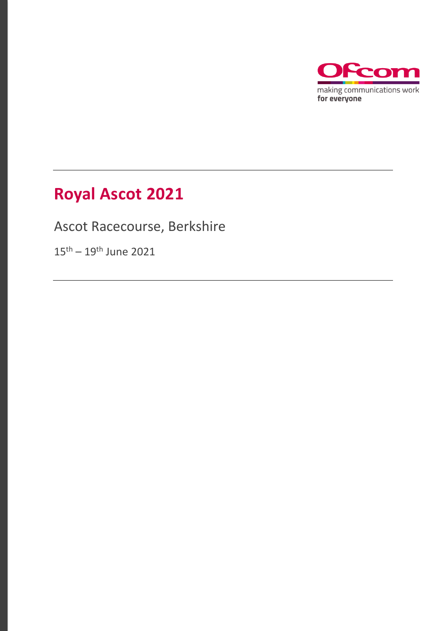

### **Royal Ascot 2021**

Ascot Racecourse, Berkshire

15 th – 19th June 2021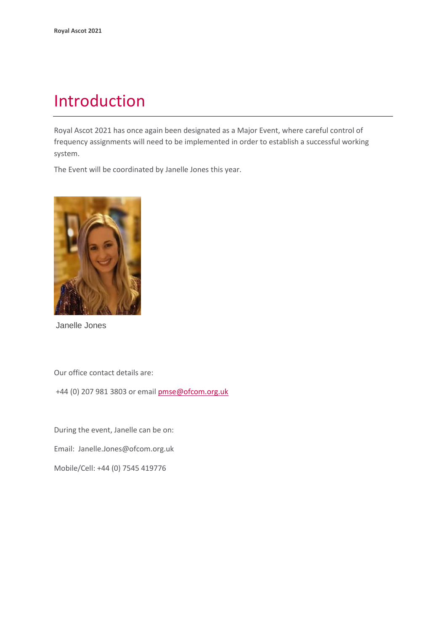### Introduction

Royal Ascot 2021 has once again been designated as a Major Event, where careful control of frequency assignments will need to be implemented in order to establish a successful working system.

The Event will be coordinated by Janelle Jones this year.



Janelle Jones

Our office contact details are:

+44 (0) 207 981 3803 or emai[l pmse@ofcom.org.uk](mailto:pmse@ofcom.org.uk)

During the event, Janelle can be on: Email: Janelle.Jones@ofcom.org.uk Mobile/Cell: +44 (0) 7545 419776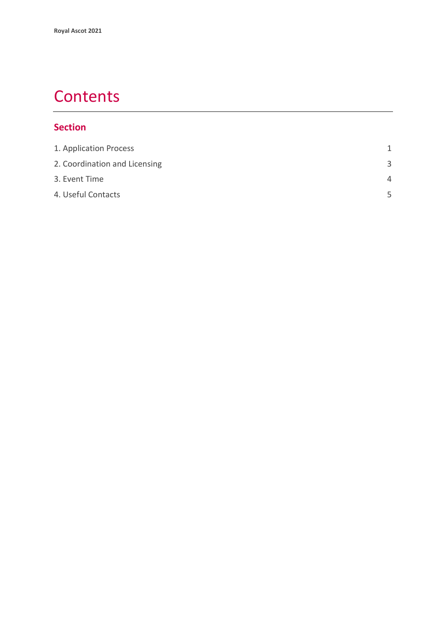### **Contents**

#### **Section**

| 1. Application Process        | 1        |
|-------------------------------|----------|
| 2. Coordination and Licensing | 3        |
| 3. Event Time                 | $\Delta$ |
| 4. Useful Contacts            | 5        |
|                               |          |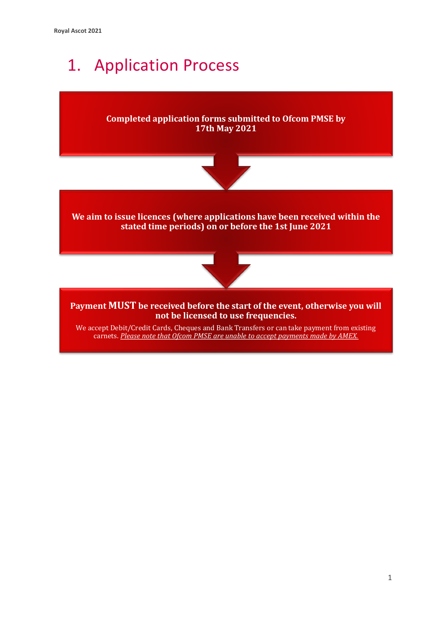# 1. Application Process



carnets. *Please note that Ofcom PMSE are unable to accept payments made by AMEX.*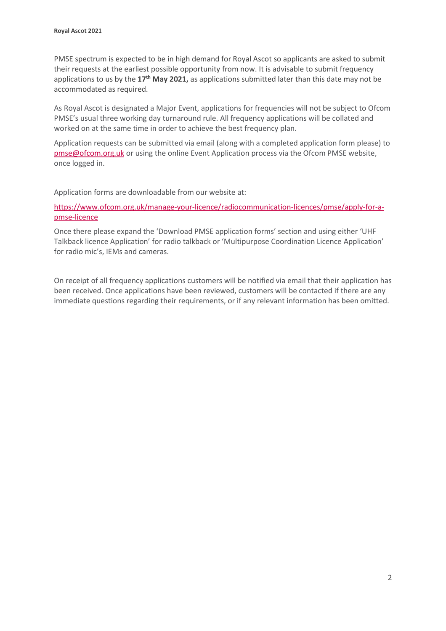PMSE spectrum is expected to be in high demand for Royal Ascot so applicants are asked to submit their requests at the earliest possible opportunity from now. It is advisable to submit frequency applications to us by the **17 th May 2021,** as applications submitted later than this date may not be accommodated as required.

As Royal Ascot is designated a Major Event, applications for frequencies will not be subject to Ofcom PMSE's usual three working day turnaround rule. All frequency applications will be collated and worked on at the same time in order to achieve the best frequency plan.

Application requests can be submitted via email (along with a completed application form please) to [pmse@ofcom.org.uk](mailto:pmse@ofcom.org.uk) or using the online Event Application process via the Ofcom PMSE website, once logged in.

Application forms are downloadable from our website at:

[https://www.ofcom.org.uk/manage-your-licence/radiocommunication-licences/pmse/apply-for-a](https://www.ofcom.org.uk/manage-your-licence/radiocommunication-licences/pmse/apply-for-a-pmse-licence)[pmse-licence](https://www.ofcom.org.uk/manage-your-licence/radiocommunication-licences/pmse/apply-for-a-pmse-licence)

Once there please expand the 'Download PMSE application forms' section and using either 'UHF Talkback licence Application' for radio talkback or 'Multipurpose Coordination Licence Application' for radio mic's, IEMs and cameras.

On receipt of all frequency applications customers will be notified via email that their application has been received. Once applications have been reviewed, customers will be contacted if there are any immediate questions regarding their requirements, or if any relevant information has been omitted.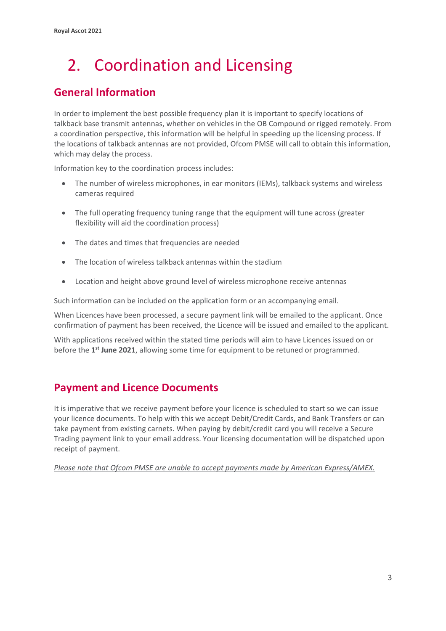# <span id="page-5-0"></span>2. Coordination and Licensing

### **General Information**

In order to implement the best possible frequency plan it is important to specify locations of talkback base transmit antennas, whether on vehicles in the OB Compound or rigged remotely. From a coordination perspective, this information will be helpful in speeding up the licensing process. If the locations of talkback antennas are not provided, Ofcom PMSE will call to obtain this information, which may delay the process.

Information key to the coordination process includes:

- The number of wireless microphones, in ear monitors (IEMs), talkback systems and wireless cameras required
- The full operating frequency tuning range that the equipment will tune across (greater flexibility will aid the coordination process)
- The dates and times that frequencies are needed
- The location of wireless talkback antennas within the stadium
- Location and height above ground level of wireless microphone receive antennas

Such information can be included on the application form or an accompanying email.

When Licences have been processed, a secure payment link will be emailed to the applicant. Once confirmation of payment has been received, the Licence will be issued and emailed to the applicant.

With applications received within the stated time periods will aim to have Licences issued on or before the 1<sup>st</sup> June 2021, allowing some time for equipment to be retuned or programmed.

#### **Payment and Licence Documents**

It is imperative that we receive payment before your licence is scheduled to start so we can issue your licence documents. To help with this we accept Debit/Credit Cards, and Bank Transfers or can take payment from existing carnets. When paying by debit/credit card you will receive a Secure Trading payment link to your email address. Your licensing documentation will be dispatched upon receipt of payment.

*Please note that Ofcom PMSE are unable to accept payments made by American Express/AMEX.*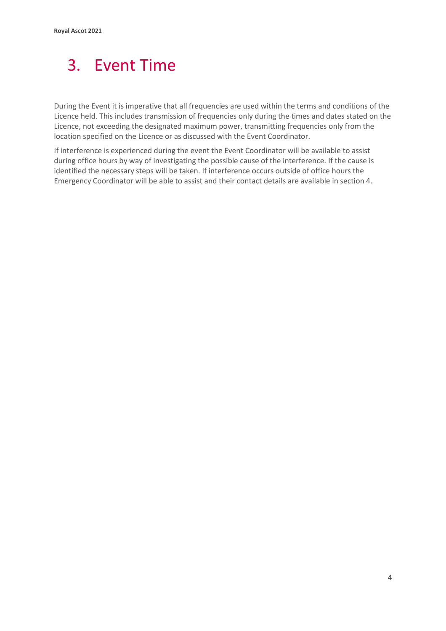## <span id="page-6-0"></span>3. Event Time

During the Event it is imperative that all frequencies are used within the terms and conditions of the Licence held. This includes transmission of frequencies only during the times and dates stated on the Licence, not exceeding the designated maximum power, transmitting frequencies only from the location specified on the Licence or as discussed with the Event Coordinator.

If interference is experienced during the event the Event Coordinator will be available to assist during office hours by way of investigating the possible cause of the interference. If the cause is identified the necessary steps will be taken. If interference occurs outside of office hours the Emergency Coordinator will be able to assist and their contact details are available in section 4.